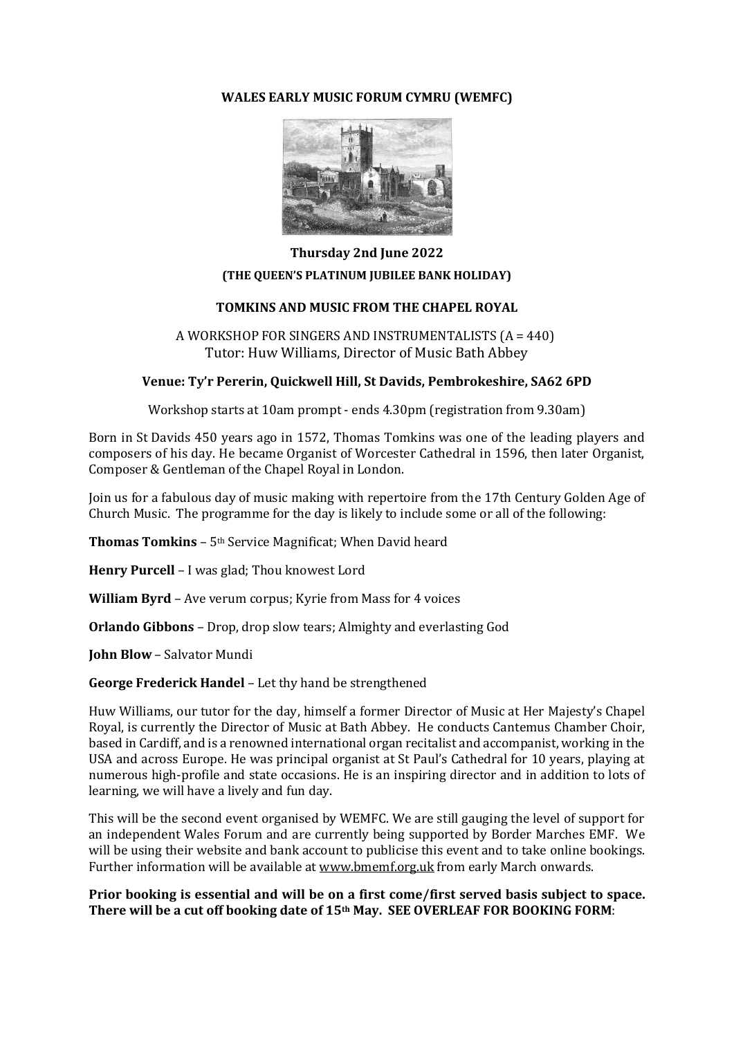# **WALES EARLY MUSIC FORUM CYMRU (WEMFC)**



# **Thursday 2nd June 2022 (THE QUEEN'S PLATINUM JUBILEE BANK HOLIDAY)**

## **TOMKINS AND MUSIC FROM THE CHAPEL ROYAL**

A WORKSHOP FOR SINGERS AND INSTRUMENTALISTS (A = 440) Tutor: Huw Williams, Director of Music Bath Abbey

## **Venue: Ty'r Pererin, Quickwell Hill, St Davids, Pembrokeshire, SA62 6PD**

Workshop starts at 10am prompt - ends 4.30pm (registration from 9.30am)

Born in St Davids 450 years ago in 1572, Thomas Tomkins was one of the leading players and composers of his day. He became Organist of Worcester Cathedral in 1596, then later Organist, Composer & Gentleman of the Chapel Royal in London.

Join us for a fabulous day of music making with repertoire from the 17th Century Golden Age of Church Music. The programme for the day is likely to include some or all of the following:

**Thomas Tomkins** – 5<sup>th</sup> Service Magnificat; When David heard

**Henry Purcell** – I was glad; Thou knowest Lord

**William Byrd** – Ave verum corpus; Kyrie from Mass for 4 voices

**Orlando Gibbons** – Drop, drop slow tears; Almighty and everlasting God

**John Blow** – Salvator Mundi

**George Frederick Handel** – Let thy hand be strengthened

Huw Williams, our tutor for the day, himself a former Director of Music at Her Majesty's Chapel Royal, is currently the Director of Music at Bath Abbey. He conducts Cantemus Chamber Choir, based in Cardiff, and is a renowned international organ recitalist and accompanist, working in the USA and across Europe. He was principal organist at St Paul's Cathedral for 10 years, playing at numerous high-profile and state occasions. He is an inspiring director and in addition to lots of learning, we will have a lively and fun day.

This will be the second event organised by WEMFC. We are still gauging the level of support for an independent Wales Forum and are currently being supported by Border Marches EMF. We will be using their website and bank account to publicise this event and to take online bookings. Further information will be available at [www.bmemf.org.uk](http://www.bmemf.org.uk/) from early March onwards.

#### **Prior booking is essential and will be on a first come/first served basis subject to space. There will be a cut off booking date of 15th May. SEE OVERLEAF FOR BOOKING FORM**: